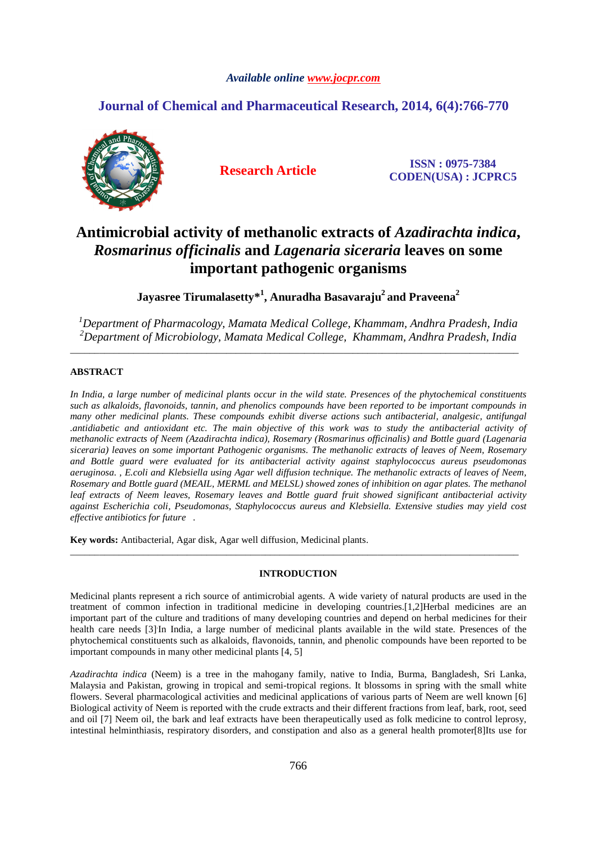## *Available online www.jocpr.com*

# **Journal of Chemical and Pharmaceutical Research, 2014, 6(4):766-770**



**Research Article ISSN : 0975-7384 CODEN(USA) : JCPRC5**

# **Antimicrobial activity of methanolic extracts of** *Azadirachta indica***,**  *Rosmarinus officinalis* **and** *Lagenaria siceraria* **leaves on some important pathogenic organisms**

**Jayasree Tirumalasetty\*<sup>1</sup> , Anuradha Basavaraju<sup>2</sup>and Praveena<sup>2</sup>** 

*<sup>1</sup>Department of Pharmacology, Mamata Medical College, Khammam, Andhra Pradesh, India <sup>2</sup>Department of Microbiology, Mamata Medical College, Khammam, Andhra Pradesh, India* 

\_\_\_\_\_\_\_\_\_\_\_\_\_\_\_\_\_\_\_\_\_\_\_\_\_\_\_\_\_\_\_\_\_\_\_\_\_\_\_\_\_\_\_\_\_\_\_\_\_\_\_\_\_\_\_\_\_\_\_\_\_\_\_\_\_\_\_\_\_\_\_\_\_\_\_\_\_\_\_\_\_\_\_\_\_\_\_\_\_\_\_\_

# **ABSTRACT**

*In India, a large number of medicinal plants occur in the wild state. Presences of the phytochemical constituents such as alkaloids, flavonoids, tannin, and phenolics compounds have been reported to be important compounds in many other medicinal plants. These compounds exhibit diverse actions such antibacterial, analgesic, antifungal .antidiabetic and antioxidant etc. The main objective of this work was to study the antibacterial activity of methanolic extracts of Neem (Azadirachta indica), Rosemary (Rosmarinus officinalis) and Bottle guard (Lagenaria siceraria) leaves on some important Pathogenic organisms. The methanolic extracts of leaves of Neem, Rosemary and Bottle guard were evaluated for its antibacterial activity against staphylococcus aureus pseudomonas aeruginosa. , E.coli and Klebsiella using Agar well diffusion technique. The methanolic extracts of leaves of Neem, Rosemary and Bottle guard (MEAIL, MERML and MELSL) showed zones of inhibition on agar plates. The methanol leaf extracts of Neem leaves, Rosemary leaves and Bottle guard fruit showed significant antibacterial activity against Escherichia coli, Pseudomonas, Staphylococcus aureus and Klebsiella. Extensive studies may yield cost effective antibiotics for future .* 

**Key words:** Antibacterial, Agar disk, Agar well diffusion, Medicinal plants.

### **INTRODUCTION**

\_\_\_\_\_\_\_\_\_\_\_\_\_\_\_\_\_\_\_\_\_\_\_\_\_\_\_\_\_\_\_\_\_\_\_\_\_\_\_\_\_\_\_\_\_\_\_\_\_\_\_\_\_\_\_\_\_\_\_\_\_\_\_\_\_\_\_\_\_\_\_\_\_\_\_\_\_\_\_\_\_\_\_\_\_\_\_\_\_\_\_\_

Medicinal plants represent a rich source of antimicrobial agents. A wide variety of natural products are used in the treatment of common infection in traditional medicine in developing countries.[1,2]Herbal medicines are an important part of the culture and traditions of many developing countries and depend on herbal medicines for their health care needs [3] In India, a large number of medicinal plants available in the wild state. Presences of the phytochemical constituents such as alkaloids, flavonoids, tannin, and phenolic compounds have been reported to be important compounds in many other medicinal plants [4, 5]

*Azadirachta indica* (Neem) is a tree in the mahogany family, native to India, Burma, Bangladesh, Sri Lanka, Malaysia and Pakistan, growing in tropical and semi-tropical regions. It blossoms in spring with the small white flowers. Several pharmacological activities and medicinal applications of various parts of Neem are well known [6] Biological activity of Neem is reported with the crude extracts and their different fractions from leaf, bark, root, seed and oil [7] Neem oil, the bark and leaf extracts have been therapeutically used as folk medicine to control leprosy, intestinal helminthiasis, respiratory disorders, and constipation and also as a general health promoter[8]Its use for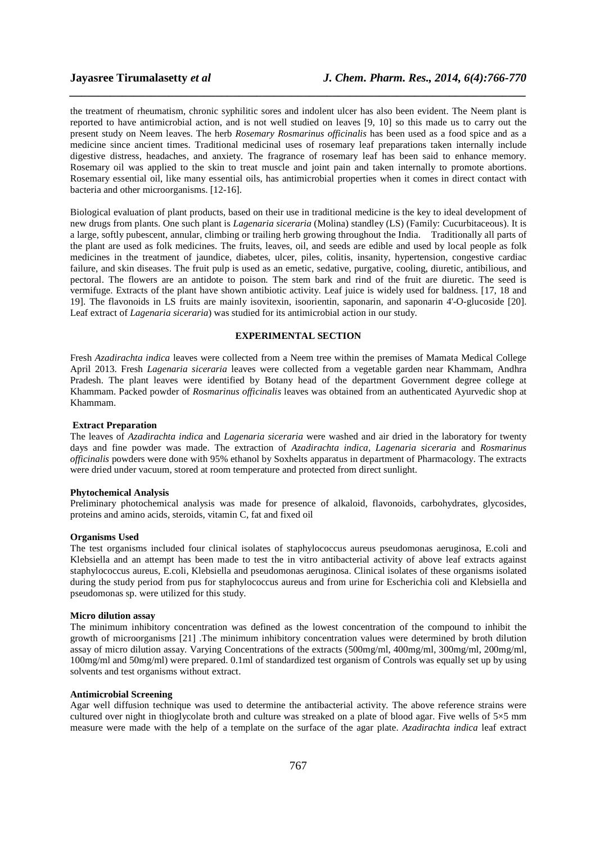the treatment of rheumatism, chronic syphilitic sores and indolent ulcer has also been evident. The Neem plant is reported to have antimicrobial action, and is not well studied on leaves [9, 10] so this made us to carry out the present study on Neem leaves. The herb *Rosemary Rosmarinus officinalis* has been used as a food spice and as a medicine since ancient times. Traditional medicinal uses of rosemary leaf preparations taken internally include digestive distress, headaches, and anxiety. The fragrance of rosemary leaf has been said to enhance memory. Rosemary oil was applied to the skin to treat muscle and joint pain and taken internally to promote abortions. Rosemary essential oil, like many essential oils, has antimicrobial properties when it comes in direct contact with bacteria and other microorganisms. [12-16].

*\_\_\_\_\_\_\_\_\_\_\_\_\_\_\_\_\_\_\_\_\_\_\_\_\_\_\_\_\_\_\_\_\_\_\_\_\_\_\_\_\_\_\_\_\_\_\_\_\_\_\_\_\_\_\_\_\_\_\_\_\_\_\_\_\_\_\_\_\_\_\_\_\_\_\_\_\_\_*

Biological evaluation of plant products, based on their use in traditional medicine is the key to ideal development of new drugs from plants. One such plant is *Lagenaria siceraria* (Molina) standley (LS) (Family: Cucurbitaceous). It is a large, softly pubescent, annular, climbing or trailing herb growing throughout the India. Traditionally all parts of the plant are used as folk medicines. The fruits, leaves, oil, and seeds are edible and used by local people as folk medicines in the treatment of jaundice, diabetes, ulcer, piles, colitis, insanity, hypertension, congestive cardiac failure, and skin diseases. The fruit pulp is used as an emetic, sedative, purgative, cooling, diuretic, antibilious, and pectoral. The flowers are an antidote to poison. The stem bark and rind of the fruit are diuretic. The seed is vermifuge. Extracts of the plant have shown antibiotic activity. Leaf juice is widely used for baldness. [17, 18 and 19]. The flavonoids in LS fruits are mainly isovitexin, isoorientin, saponarin, and saponarin 4'-O-glucoside [20]. Leaf extract of *Lagenaria siceraria*) was studied for its antimicrobial action in our study.

# **EXPERIMENTAL SECTION**

Fresh *Azadirachta indica* leaves were collected from a Neem tree within the premises of Mamata Medical College April 2013. Fresh *Lagenaria siceraria* leaves were collected from a vegetable garden near Khammam, Andhra Pradesh. The plant leaves were identified by Botany head of the department Government degree college at Khammam. Packed powder of *Rosmarinus officinalis* leaves was obtained from an authenticated Ayurvedic shop at Khammam.

#### **Extract Preparation**

The leaves of *Azadirachta indica* and *Lagenaria siceraria* were washed and air dried in the laboratory for twenty days and fine powder was made. The extraction of *Azadirachta indica, Lagenaria siceraria* and *Rosmarinus officinalis* powders were done with 95% ethanol by Soxhelts apparatus in department of Pharmacology. The extracts were dried under vacuum, stored at room temperature and protected from direct sunlight.

#### **Phytochemical Analysis**

Preliminary photochemical analysis was made for presence of alkaloid, flavonoids, carbohydrates, glycosides, proteins and amino acids, steroids, vitamin C, fat and fixed oil

#### **Organisms Used**

The test organisms included four clinical isolates of staphylococcus aureus pseudomonas aeruginosa, E.coli and Klebsiella and an attempt has been made to test the in vitro antibacterial activity of above leaf extracts against staphylococcus aureus, E.coli, Klebsiella and pseudomonas aeruginosa. Clinical isolates of these organisms isolated during the study period from pus for staphylococcus aureus and from urine for Escherichia coli and Klebsiella and pseudomonas sp. were utilized for this study.

#### **Micro dilution assay**

The minimum inhibitory concentration was defined as the lowest concentration of the compound to inhibit the growth of microorganisms [21] .The minimum inhibitory concentration values were determined by broth dilution assay of micro dilution assay. Varying Concentrations of the extracts (500mg/ml, 400mg/ml, 300mg/ml, 200mg/ml, 100mg/ml and 50mg/ml) were prepared. 0.1ml of standardized test organism of Controls was equally set up by using solvents and test organisms without extract.

#### **Antimicrobial Screening**

Agar well diffusion technique was used to determine the antibacterial activity. The above reference strains were cultured over night in thioglycolate broth and culture was streaked on a plate of blood agar. Five wells of 5×5 mm measure were made with the help of a template on the surface of the agar plate. *Azadirachta indica* leaf extract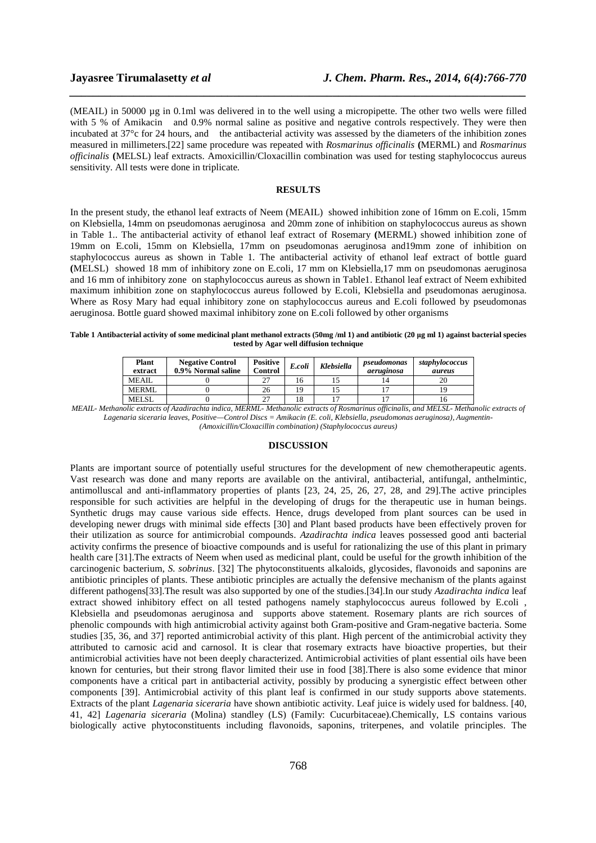(MEAIL) in 50000 µg in 0.1ml was delivered in to the well using a micropipette. The other two wells were filled with 5 % of Amikacin and 0.9% normal saline as positive and negative controls respectively. They were then incubated at 37°c for 24 hours, and the antibacterial activity was assessed by the diameters of the inhibition zones measured in millimeters.[22] same procedure was repeated with *Rosmarinus officinalis* **(**MERML) and *Rosmarinus officinalis* **(**MELSL) leaf extracts. Amoxicillin/Cloxacillin combination was used for testing staphylococcus aureus sensitivity. All tests were done in triplicate.

*\_\_\_\_\_\_\_\_\_\_\_\_\_\_\_\_\_\_\_\_\_\_\_\_\_\_\_\_\_\_\_\_\_\_\_\_\_\_\_\_\_\_\_\_\_\_\_\_\_\_\_\_\_\_\_\_\_\_\_\_\_\_\_\_\_\_\_\_\_\_\_\_\_\_\_\_\_\_*

#### **RESULTS**

In the present study, the ethanol leaf extracts of Neem (MEAIL) showed inhibition zone of 16mm on E.coli, 15mm on Klebsiella, 14mm on pseudomonas aeruginosaand 20mm zone of inhibition on staphylococcus aureus as shown in Table 1.. The antibacterial activity of ethanol leaf extract of Rosemary **(**MERML) showed inhibition zone of 19mm on E.coli, 15mm on Klebsiella, 17mm on pseudomonas aeruginosa and19mm zone of inhibition on staphylococcus aureus as shown in Table 1. The antibacterial activity of ethanol leaf extract of bottle guard **(**MELSL)showed 18 mm of inhibitory zone on E.coli, 17 mm on Klebsiella,17 mm on pseudomonas aeruginosa and 16 mm of inhibitory zone on staphylococcus aureus as shown in Table1. Ethanol leaf extract of Neem exhibited maximum inhibition zone on staphylococcus aureus followed by E.coli, Klebsiella and pseudomonas aeruginosa. Where as Rosy Mary had equal inhibitory zone on staphylococcus aureus and E.coli followed by pseudomonas aeruginosa. Bottle guard showed maximal inhibitory zone on E.coli followed by other organisms

#### Table 1 Antibacterial activity of some medicinal plant methanol extracts (50mg /ml 1) and antibiotic (20 µg ml 1) against bacterial species **tested by Agar well diffusion technique**

| <b>Plant</b><br>extract | <b>Negative Control</b><br>0.9% Normal saline | Positive<br>Control | E.coli | Klebsiella | pseudomonas<br>aeruginosa | staphylococcus<br>aureus |
|-------------------------|-----------------------------------------------|---------------------|--------|------------|---------------------------|--------------------------|
| MEAIL.                  |                                               | 27                  | 16     |            |                           | 20                       |
| MERML                   |                                               | 26                  | 19     |            |                           |                          |
| <b>MELSL</b>            |                                               | 27                  | 18     |            |                           | 10                       |

*MEAIL- Methanolic extracts of Azadirachta indica, MERML- Methanolic extracts of Rosmarinus officinalis, and MELSL- Methanolic extracts of Lagenaria siceraria leaves, Positive—Control Discs = Amikacin (E. coli, Klebsiella, pseudomonas aeruginosa), Augmentin- (Amoxicillin/Cloxacillin combination) (Staphylococcus aureus)* 

#### **DISCUSSION**

Plants are important source of potentially useful structures for the development of new chemotherapeutic agents. Vast research was done and many reports are available on the antiviral, antibacterial, antifungal, anthelmintic, antimolluscal and anti-inflammatory properties of plants [23, 24, 25, 26, 27, 28, and 29].The active principles responsible for such activities are helpful in the developing of drugs for the therapeutic use in human beings. Synthetic drugs may cause various side effects. Hence, drugs developed from plant sources can be used in developing newer drugs with minimal side effects [30] and Plant based products have been effectively proven for their utilization as source for antimicrobial compounds. *Azadirachta indica* leaves possessed good anti bacterial activity confirms the presence of bioactive compounds and is useful for rationalizing the use of this plant in primary health care [31].The extracts of Neem when used as medicinal plant, could be useful for the growth inhibition of the carcinogenic bacterium, *S. sobrinus*. [32] The phytoconstituents alkaloids, glycosides, flavonoids and saponins are antibiotic principles of plants. These antibiotic principles are actually the defensive mechanism of the plants against different pathogens[33].The result was also supported by one of the studies.[34].In our study *Azadirachta indica* leaf extract showed inhibitory effect on all tested pathogens namely staphylococcus aureus followed by E.coli , Klebsiella and pseudomonas aeruginosa and supports above statement. Rosemary plants are rich sources of phenolic compounds with high antimicrobial activity against both Gram-positive and Gram-negative bacteria. Some studies [35, 36, and 37] reported antimicrobial activity of this plant. High percent of the antimicrobial activity they attributed to carnosic acid and carnosol. It is clear that rosemary extracts have bioactive properties, but their antimicrobial activities have not been deeply characterized. Antimicrobial activities of plant essential oils have been known for centuries, but their strong flavor limited their use in food [38].There is also some evidence that minor components have a critical part in antibacterial activity, possibly by producing a synergistic effect between other components [39]. Antimicrobial activity of this plant leaf is confirmed in our study supports above statements. Extracts of the plant *Lagenaria siceraria* have shown antibiotic activity. Leaf juice is widely used for baldness. [40, 41, 42] *Lagenaria siceraria* (Molina) standley (LS) (Family: Cucurbitaceae).Chemically, LS contains various biologically active phytoconstituents including flavonoids, saponins, triterpenes, and volatile principles. The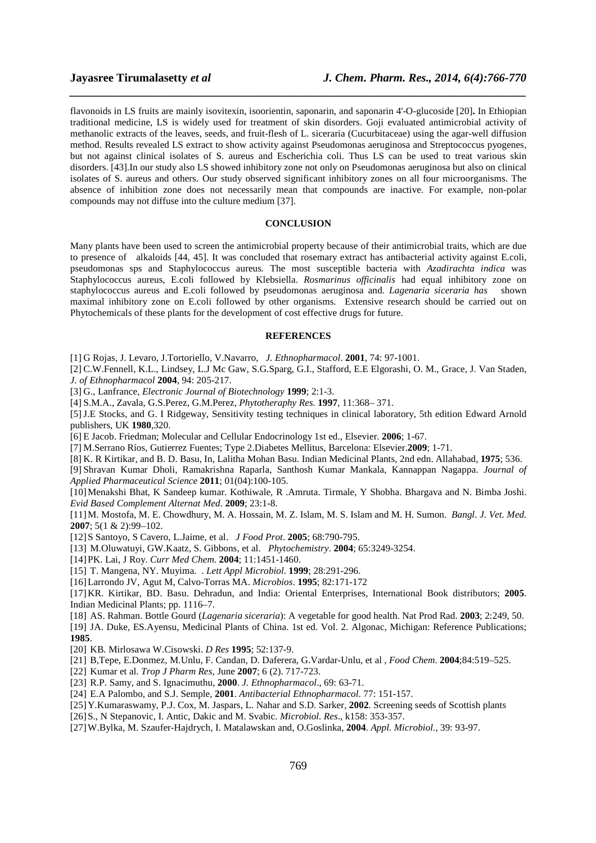flavonoids in LS fruits are mainly isovitexin, isoorientin, saponarin, and saponarin 4'-O-glucoside [20]**.** In Ethiopian traditional medicine, LS is widely used for treatment of skin disorders. Goji evaluated antimicrobial activity of methanolic extracts of the leaves, seeds, and fruit-flesh of L. siceraria (Cucurbitaceae) using the agar-well diffusion method. Results revealed LS extract to show activity against Pseudomonas aeruginosa and Streptococcus pyogenes, but not against clinical isolates of S. aureus and Escherichia coli. Thus LS can be used to treat various skin disorders. [43].In our study also LS showed inhibitory zone not only on Pseudomonas aeruginosa but also on clinical isolates of S. aureus and others. Our study observed significant inhibitory zones on all four microorganisms. The absence of inhibition zone does not necessarily mean that compounds are inactive. For example, non-polar compounds may not diffuse into the culture medium [37].

*\_\_\_\_\_\_\_\_\_\_\_\_\_\_\_\_\_\_\_\_\_\_\_\_\_\_\_\_\_\_\_\_\_\_\_\_\_\_\_\_\_\_\_\_\_\_\_\_\_\_\_\_\_\_\_\_\_\_\_\_\_\_\_\_\_\_\_\_\_\_\_\_\_\_\_\_\_\_*

### **CONCLUSION**

Many plants have been used to screen the antimicrobial property because of their antimicrobial traits, which are due to presence of alkaloids [44, 45]. It was concluded that rosemary extract has antibacterial activity against E.coli, pseudomonas sps and Staphylococcus aureus*.* The most susceptible bacteria with *Azadirachta indica* was Staphylococcus aureus, E.coli followed by Klebsiella. *Rosmarinus officinalis* had equal inhibitory zone on staphylococcus aureus and E.coli followed by pseudomonas aeruginosa and*. Lagenaria siceraria has* shown maximal inhibitory zone on E.coli followed by other organisms. Extensive research should be carried out on Phytochemicals of these plants for the development of cost effective drugs for future.

### **REFERENCES**

[1] G Rojas, J. Levaro, J.Tortoriello, V.Navarro, *J. Ethnopharmacol*. **2001**, 74: 97-1001.

[2] C.W.Fennell, K.L., Lindsey, L.J Mc Gaw, S.G.Sparg, G.I., Stafford, E.E Elgorashi, O. M., Grace, J. Van Staden, *J. of Ethnopharmacol* **2004**, 94: 205-217.

- [3] G., Lanfrance, *Electronic Journal of Biotechnology* **1999**; 2:1-3.
- [4] S.M.A., Zavala, G.S.Perez, G.M.Perez, *Phytotheraphy Res.* **1997**, 11:368– 371.

[5]J.E Stocks, and G. I Ridgeway, Sensitivity testing techniques in clinical laboratory, 5th edition Edward Arnold publishers, UK **1980**,320.

[6] E Jacob. Friedman; Molecular and Cellular Endocrinology 1st ed., Elsevier. **2006**; 1-67.

[7] M.Serrano Ríos, Gutierrez Fuentes; Type 2.Diabetes Mellitus, Barcelona: Elsevier.**2009**; 1-71.

[8] K. R Kirtikar, and B. D. Basu, In, Lalitha Mohan Basu. Indian Medicinal Plants, 2nd edn. Allahabad, **1975**; 536.

[9] Shravan Kumar Dholi, Ramakrishna Raparla, Santhosh Kumar Mankala, Kannappan Nagappa. *Journal of Applied Pharmaceutical Science* **2011**; 01(04):100-105.

[10]Menakshi Bhat, K Sandeep kumar. Kothiwale, R .Amruta. Tirmale, Y Shobha. Bhargava and N. Bimba Joshi. *Evid Based Complement Alternat Med*. **2009**; 23:1-8.

[11]M. Mostofa, M. E. Chowdhury, M. A. Hossain, M. Z. Islam, M. S. Islam and M. H. Sumon. *Bangl. J. Vet. Med.*  **2007**; 5(1 & 2):99–102.

[12]S Santoyo, S Cavero, L.Jaime, et al. *J Food Prot*. **2005**; 68:790-795.

- [13] M.Oluwatuyi, GW.Kaatz, S. Gibbons, et al. *Phytochemistry*. **2004**; 65:3249-3254.
- [14]PK. Lai, J Roy. *Curr Med Chem*. **2004**; 11:1451-1460.

[15] T. Mangena, NY. Muyima. . *Lett Appl Microbiol*. **1999**; 28:291-296.

[16]Larrondo JV, Agut M, Calvo-Torras MA. *Microbios*. **1995**; 82:171-172

[17]KR. Kirtikar, BD. Basu. Dehradun, and India: Oriental Enterprises, International Book distributors; **2005**. Indian Medicinal Plants; pp. 1116–7.

[18] AS. Rahman. Bottle Gourd (*Lagenaria siceraria*): A vegetable for good health. Nat Prod Rad. **2003**; 2:249, 50. [19] JA. Duke, ES.Ayensu, Medicinal Plants of China. 1st ed. Vol. 2. Algonac, Michigan: Reference Publications;

**1985**.

- [20] KB. Mirlosawa W.Cisowski. *D Res* **1995**; 52:137-9.
- [21] B,Tepe, E.Donmez, M.Unlu, F. Candan, D. Daferera, G.Vardar-Unlu, et al , *Food Chem*. **2004**;84:519–525.
- [22] Kumar et al. *Trop J Pharm Res*, June **2007**; 6 (2). 717-723.
- [23] R.P. Samy, and S. Ignacimuthu, **2000**. *J. Ethnopharmacol*., 69: 63-71.
- [24] E.A Palombo, and S.J. Semple, **2001**. *Antibacterial Ethnopharmacol*. 77: 151-157.
- [25]Y.Kumaraswamy, P.J. Cox, M. Jaspars, L. Nahar and S.D. Sarker, **2002**. Screening seeds of Scottish plants
- [26]S., N Stepanovic, I. Antic, Dakic and M. Svabic. *Microbiol. Res*., k158: 353-357.
- [27]W.Bylka, M. Szaufer-Hajdrych, I. Matalawskan and, O.Goslinka, **2004**. *Appl. Microbiol*., 39: 93-97.